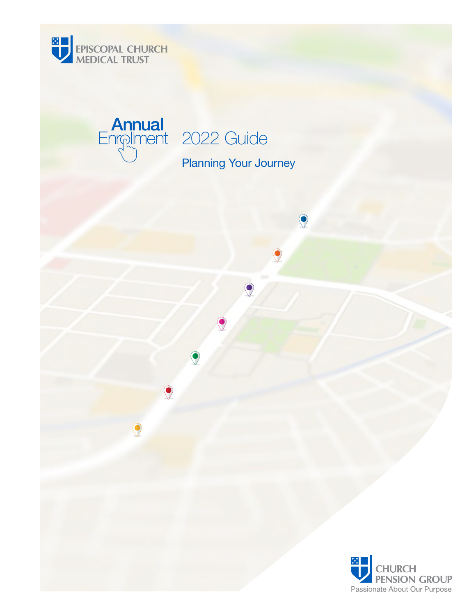

# **Annual**<br>Enrollment 2022 Guide

Planning Your Journey

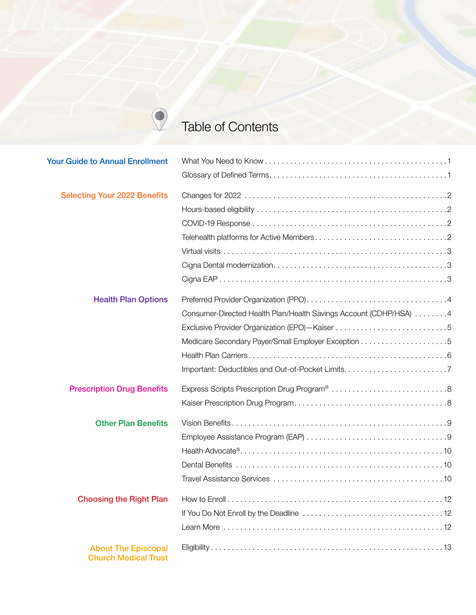## Table of Contents

 $\bigcirc$ 

| <b>Your Guide to Annual Enrollment</b>                    |                                                                   |
|-----------------------------------------------------------|-------------------------------------------------------------------|
|                                                           |                                                                   |
| <b>Selecting Your 2022 Benefits</b>                       |                                                                   |
|                                                           |                                                                   |
|                                                           |                                                                   |
|                                                           |                                                                   |
|                                                           |                                                                   |
|                                                           |                                                                   |
|                                                           |                                                                   |
| <b>Health Plan Options</b>                                |                                                                   |
|                                                           | Consumer-Directed Health Plan/Health Savings Account (CDHP/HSA) 4 |
|                                                           |                                                                   |
|                                                           |                                                                   |
|                                                           |                                                                   |
|                                                           |                                                                   |
| <b>Prescription Drug Benefits</b>                         |                                                                   |
|                                                           |                                                                   |
| <b>Other Plan Benefits</b>                                |                                                                   |
|                                                           |                                                                   |
|                                                           |                                                                   |
|                                                           |                                                                   |
|                                                           |                                                                   |
| <b>Choosing the Right Plan</b>                            |                                                                   |
|                                                           |                                                                   |
|                                                           |                                                                   |
| <b>About The Episcopal</b><br><b>Church Medical Trust</b> |                                                                   |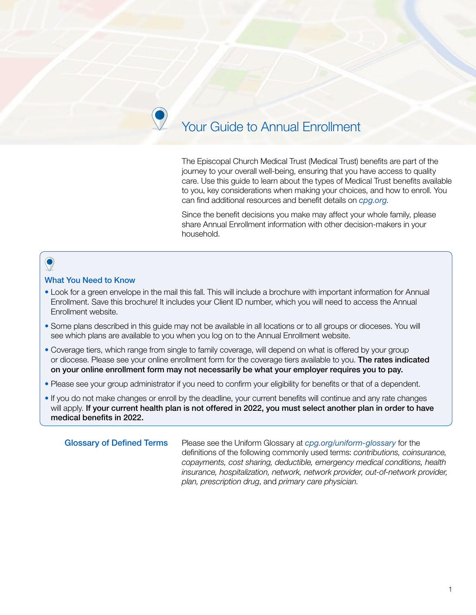## Your Guide to Annual Enrollment

The Episcopal Church Medical Trust (Medical Trust) benefits are part of the journey to your overall well-being, ensuring that you have access to quality care. Use this guide to learn about the types of Medical Trust benefits available to you, key considerations when making your choices, and how to enroll. You can find additional resources and benefit details on *[cpg.org](https://www.cpg.org/)*.

Since the benefit decisions you make may affect your whole family, please share Annual Enrollment information with other decision-makers in your household.

## $\bullet$

#### What You Need to Know

- Look for a green envelope in the mail this fall. This will include a brochure with important information for Annual Enrollment. Save this brochure! It includes your Client ID number, which you will need to access the Annual Enrollment website.
- Some plans described in this guide may not be available in all locations or to all groups or dioceses. You will see which plans are available to you when you log on to the Annual Enrollment website.
- Coverage tiers, which range from single to family coverage, will depend on what is offered by your group or diocese. Please see your online enrollment form for the coverage tiers available to you. The rates indicated on your online enrollment form may not necessarily be what your employer requires you to pay.
- Please see your group administrator if you need to confirm your eligibility for benefits or that of a dependent.
- If you do not make changes or enroll by the deadline, your current benefits will continue and any rate changes will apply. If your current health plan is not offered in 2022, you must select another plan in order to have medical benefits in 2022.

Glossary of Defined Terms Please see the Uniform Glossary at *[cpg.org/uniform-glossary](https://www.cpg.org/globalassets/documents/publications/2021-annual-enrollment-guide.pdf)* for the definitions of the following commonly used terms: *contributions, coinsurance, copayments, cost sharing, deductible, emergency medical conditions, health insurance, hospitalization, network, network provider, out-of-network provider, plan, prescription drug*, and *primary care physician*.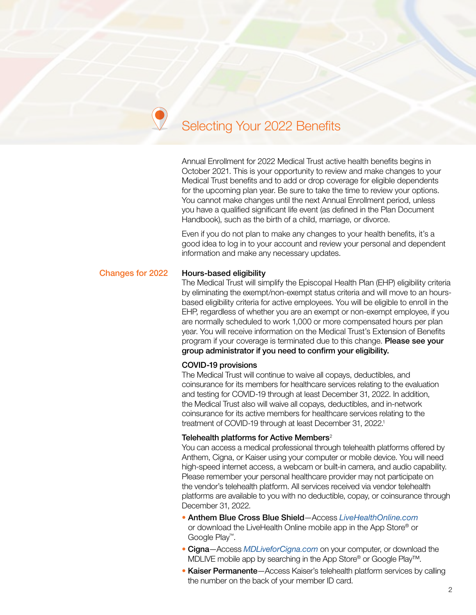## Selecting Your 2022 Benefits

Annual Enrollment for 2022 Medical Trust active health benefits begins in October 2021. This is your opportunity to review and make changes to your Medical Trust benefits and to add or drop coverage for eligible dependents for the upcoming plan year. Be sure to take the time to review your options. You cannot make changes until the next Annual Enrollment period, unless you have a qualified significant life event (as defined in the Plan Document Handbook), such as the birth of a child, marriage, or divorce.

Even if you do not plan to make any changes to your health benefits, it's a good idea to log in to your account and review your personal and dependent information and make any necessary updates.

#### Changes for 2022 Hours-based eligibility

The Medical Trust will simplify the Episcopal Health Plan (EHP) eligibility criteria by eliminating the exempt/non-exempt status criteria and will move to an hoursbased eligibility criteria for active employees. You will be eligible to enroll in the EHP, regardless of whether you are an exempt or non-exempt employee, if you are normally scheduled to work 1,000 or more compensated hours per plan year. You will receive information on the Medical Trust's Extension of Benefits program if your coverage is terminated due to this change. Please see your group administrator if you need to confirm your eligibility.

#### COVID-19 provisions

The Medical Trust will continue to waive all copays, deductibles, and coinsurance for its members for healthcare services relating to the evaluation and testing for COVID-19 through at least December 31, 2022. In addition, the Medical Trust also will waive all copays, deductibles, and in-network coinsurance for its active members for healthcare services relating to the treatment of COVID-19 through at least December 31, 2022. 1

#### Telehealth platforms for Active Members<sup>2</sup>

You can access a medical professional through telehealth platforms offered by Anthem, Cigna, or Kaiser using your computer or mobile device. You will need high-speed internet access, a webcam or built-in camera, and audio capability. Please remember your personal healthcare provider may not participate on the vendor's telehealth platform. All services received via vendor telehealth platforms are available to you with no deductible, copay, or coinsurance through December 31, 2022.

- Anthem Blue Cross Blue Shield—Access *[LiveHealthOnline.com](https://livehealthonline.com)* or download the LiveHealth Online mobile app in the App Store® or Google Play™.
- Cigna—Access *[MDLiveforCigna.com](https://www.mdliveforcigna.com/mdliveforcigna/landing_home)* on your computer, or download the MDLIVE mobile app by searching in the App Store® or Google Play™.
- Kaiser Permanente-Access Kaiser's telehealth platform services by calling the number on the back of your member ID card.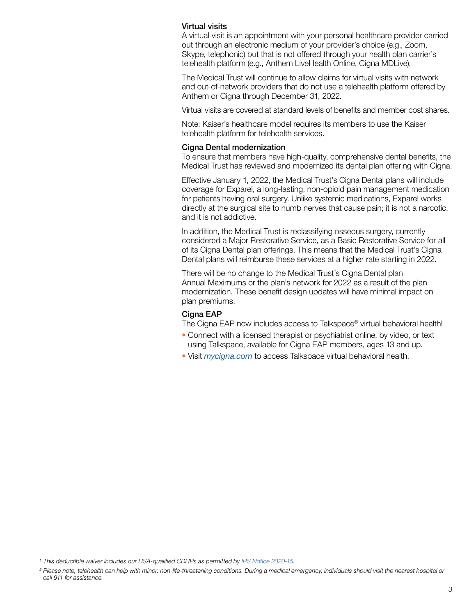#### Virtual visits

A virtual visit is an appointment with your personal healthcare provider carried out through an electronic medium of your provider's choice (e.g., Zoom, Skype, telephonic) but that is not offered through your health plan carrier's telehealth platform (e.g., Anthem LiveHealth Online, Cigna MDLive).

The Medical Trust will continue to allow claims for virtual visits with network and out-of-network providers that do not use a telehealth platform offered by Anthem or Cigna through December 31, 2022.

Virtual visits are covered at standard levels of benefits and member cost shares.

Note: Kaiser's healthcare model requires its members to use the Kaiser telehealth platform for telehealth services.

#### Cigna Dental modernization

To ensure that members have high-quality, comprehensive dental benefits, the Medical Trust has reviewed and modernized its dental plan offering with Cigna.

Effective January 1, 2022, the Medical Trust's Cigna Dental plans will include coverage for Exparel, a long-lasting, non-opioid pain management medication for patients having oral surgery. Unlike systemic medications, Exparel works directly at the surgical site to numb nerves that cause pain; it is not a narcotic, and it is not addictive.

In addition, the Medical Trust is reclassifying osseous surgery, currently considered a Major Restorative Service, as a Basic Restorative Service for all of its Cigna Dental plan offerings. This means that the Medical Trust's Cigna Dental plans will reimburse these services at a higher rate starting in 2022.

There will be no change to the Medical Trust's Cigna Dental plan Annual Maximums or the plan's network for 2022 as a result of the plan modernization. These benefit design updates will have minimal impact on plan premiums.

#### Cigna EAP

The Cigna EAP now includes access to Talkspace® virtual behavioral health!

- Connect with a licensed therapist or psychiatrist online, by video, or text using Talkspace, available for Cigna EAP members, ages 13 and up.
- Visit *[mycigna.com](https://my.cigna.com/web/public/guest)* to access Talkspace virtual behavioral health.

<sup>1</sup> *This deductible waiver includes our HSA-qualified CDHPs as permitted by [IRS Notice 2020-15](https://www.irs.gov/pub/irs-drop/n-20-15.pdf).*

*<sup>2</sup> Please note, telehealth can help with minor, non-life-threatening conditions. During a medical emergency, individuals should visit the nearest hospital or call 911 for assistance.*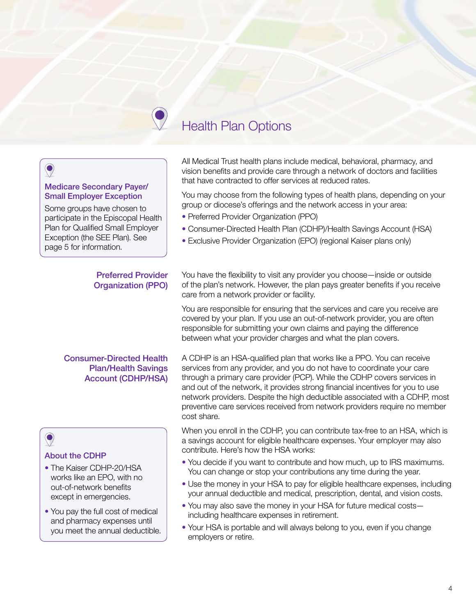## Health Plan Options

## $\bullet$

#### Medicare Secondary Payer/ Small Employer Exception

Some groups have chosen to participate in the Episcopal Health Plan for Qualified Small Employer Exception (the SEE Plan). See page 5 for information.

#### Preferred Provider Organization (PPO)

#### Consumer-Directed Health Plan/Health Savings Account (CDHP/HSA)

## $\bigcirc$

#### About the CDHP

- The Kaiser CDHP-20/HSA works like an EPO, with no out-of-network benefits except in emergencies.
- You pay the full cost of medical and pharmacy expenses until you meet the annual deductible.

All Medical Trust health plans include medical, behavioral, pharmacy, and vision benefits and provide care through a network of doctors and facilities that have contracted to offer services at reduced rates.

You may choose from the following types of health plans, depending on your group or diocese's offerings and the network access in your area:

- Preferred Provider Organization (PPO)
- Consumer-Directed Health Plan (CDHP)/Health Savings Account (HSA)
- Exclusive Provider Organization (EPO) (regional Kaiser plans only)

You have the flexibility to visit any provider you choose—inside or outside of the plan's network. However, the plan pays greater benefits if you receive care from a network provider or facility.

You are responsible for ensuring that the services and care you receive are covered by your plan. If you use an out-of-network provider, you are often responsible for submitting your own claims and paying the difference between what your provider charges and what the plan covers.

A CDHP is an HSA-qualified plan that works like a PPO. You can receive services from any provider, and you do not have to coordinate your care through a primary care provider (PCP). While the CDHP covers services in and out of the network, it provides strong financial incentives for you to use network providers. Despite the high deductible associated with a CDHP, most preventive care services received from network providers require no member cost share.

When you enroll in the CDHP, you can contribute tax-free to an HSA, which is a savings account for eligible healthcare expenses. Your employer may also contribute. Here's how the HSA works:

- You decide if you want to contribute and how much, up to IRS maximums. You can change or stop your contributions any time during the year.
- Use the money in your HSA to pay for eligible healthcare expenses, including your annual deductible and medical, prescription, dental, and vision costs.
- You may also save the money in your HSA for future medical costs including healthcare expenses in retirement.
- Your HSA is portable and will always belong to you, even if you change employers or retire.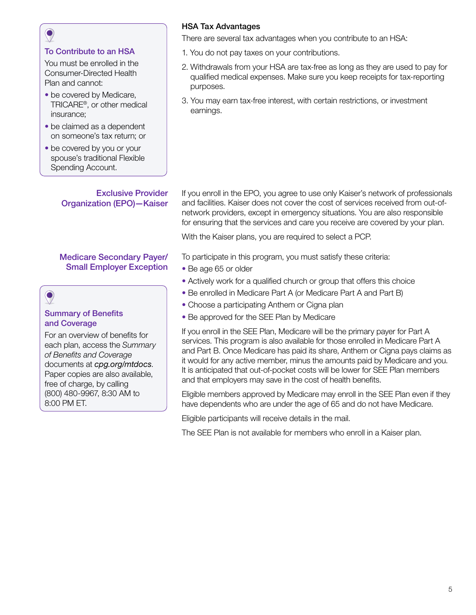#### To Contribute to an HSA

You must be enrolled in the Consumer-Directed Health Plan and cannot:

- be covered by Medicare, TRICARE®, or other medical insurance;
- be claimed as a dependent on someone's tax return; or
- be covered by you or your spouse's traditional Flexible Spending Account.

Exclusive Provider Organization (EPO)—Kaiser

#### Medicare Secondary Payer/ Small Employer Exception

## $\bullet$

#### Summary of Benefits and Coverage

For an overview of benefits for each plan, access the *Summary of Benefits and Coverage* documents at *[cpg.org/mtdocs](https://www.cpg.org/forms-and-publications/publications/health-plans)*. Paper copies are also available, free of charge, by calling (800) 480-9967, 8:30 AM to 8:00 PM ET.

### HSA Tax Advantages

There are several tax advantages when you contribute to an HSA:

- 1. You do not pay taxes on your contributions.
- 2. Withdrawals from your HSA are tax-free as long as they are used to pay for qualified medical expenses. Make sure you keep receipts for tax-reporting purposes.
- 3. You may earn tax-free interest, with certain restrictions, or investment earnings.

If you enroll in the EPO, you agree to use only Kaiser's network of professionals and facilities. Kaiser does not cover the cost of services received from out-ofnetwork providers, except in emergency situations. You are also responsible for ensuring that the services and care you receive are covered by your plan.

With the Kaiser plans, you are required to select a PCP.

To participate in this program, you must satisfy these criteria:

- Be age 65 or older
- Actively work for a qualified church or group that offers this choice
- Be enrolled in Medicare Part A (or Medicare Part A and Part B)
- Choose a participating Anthem or Cigna plan
- Be approved for the SEE Plan by Medicare

If you enroll in the SEE Plan, Medicare will be the primary payer for Part A services. This program is also available for those enrolled in Medicare Part A and Part B. Once Medicare has paid its share, Anthem or Cigna pays claims as it would for any active member, minus the amounts paid by Medicare and you. It is anticipated that out-of-pocket costs will be lower for SEE Plan members and that employers may save in the cost of health benefits.

Eligible members approved by Medicare may enroll in the SEE Plan even if they have dependents who are under the age of 65 and do not have Medicare.

Eligible participants will receive details in the mail.

The SEE Plan is not available for members who enroll in a Kaiser plan.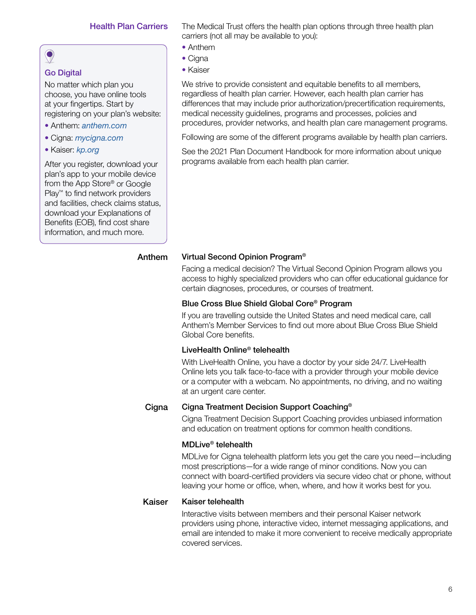#### Health Plan Carriers

## $\bullet$

### Go Digital

No matter which plan you choose, you have online tools at your fingertips. Start by registering on your plan's website:

- Anthem: *[anthem.com](https://www.anthem.com/)*
- Cigna: *[mycigna.com](https://my.cigna.com/web/public/guest)*
- Kaiser: *[kp.org](https://healthy.kaiserpermanente.org/)*

After you register, download your plan's app to your mobile device from the App Store® or Google Play™ to find network providers and facilities, check claims status, download your Explanations of Benefits (EOB), find cost share information, and much more.

The Medical Trust offers the health plan options through three health plan carriers (not all may be available to you):

- Anthem
- Cigna
- Kaiser

We strive to provide consistent and equitable benefits to all members, regardless of health plan carrier. However, each health plan carrier has differences that may include prior authorization/precertification requirements, medical necessity guidelines, programs and processes, policies and procedures, provider networks, and health plan care management programs.

Following are some of the different programs available by health plan carriers.

See the 2021 Plan Document Handbook for more information about unique programs available from each health plan carrier.

#### Anthem Virtual Second Opinion Program®

Facing a medical decision? The Virtual Second Opinion Program allows you access to highly specialized providers who can offer educational guidance for certain diagnoses, procedures, or courses of treatment.

#### Blue Cross Blue Shield Global Core® Program

If you are travelling outside the United States and need medical care, call Anthem's Member Services to find out more about Blue Cross Blue Shield Global Core benefits.

#### LiveHealth Online® telehealth

With LiveHealth Online, you have a doctor by your side 24/7. LiveHealth Online lets you talk face-to-face with a provider through your mobile device or a computer with a webcam. No appointments, no driving, and no waiting at an urgent care center.

#### Cigna Cigna Treatment Decision Support Coaching®

Cigna Treatment Decision Support Coaching provides unbiased information and education on treatment options for common health conditions.

#### MDLive® telehealth

MDLive for Cigna telehealth platform lets you get the care you need—including most prescriptions—for a wide range of minor conditions. Now you can connect with board-certified providers via secure video chat or phone, without leaving your home or office, when, where, and how it works best for you.

#### Kaiser Kaiser telehealth

Interactive visits between members and their personal Kaiser network providers using phone, interactive video, internet messaging applications, and email are intended to make it more convenient to receive medically appropriate covered services.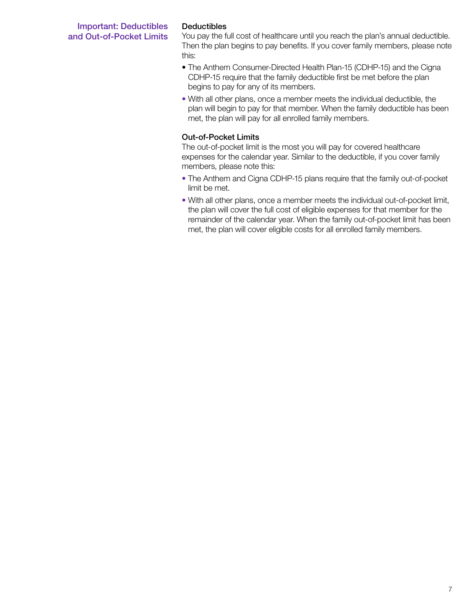#### Important: Deductibles and Out-of-Pocket Limits

#### Deductibles

You pay the full cost of healthcare until you reach the plan's annual deductible. Then the plan begins to pay benefits. If you cover family members, please note this:

- The Anthem Consumer-Directed Health Plan-15 (CDHP-15) and the Cigna CDHP-15 require that the family deductible first be met before the plan begins to pay for any of its members.
- With all other plans, once a member meets the individual deductible, the plan will begin to pay for that member. When the family deductible has been met, the plan will pay for all enrolled family members.

#### Out-of-Pocket Limits

The out-of-pocket limit is the most you will pay for covered healthcare expenses for the calendar year. Similar to the deductible, if you cover family members, please note this:

- The Anthem and Cigna CDHP-15 plans require that the family out-of-pocket limit be met.
- With all other plans, once a member meets the individual out-of-pocket limit, the plan will cover the full cost of eligible expenses for that member for the remainder of the calendar year. When the family out-of-pocket limit has been met, the plan will cover eligible costs for all enrolled family members.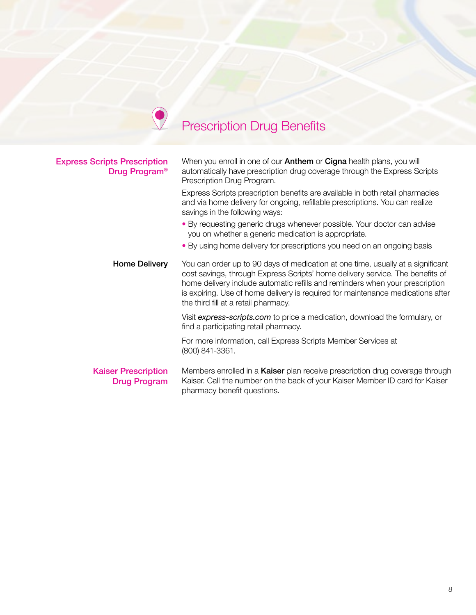# Prescription Drug Benefits

| <b>Express Scripts Prescription</b><br>Drug Program <sup>®</sup> | When you enroll in one of our <b>Anthem</b> or <b>Cigna</b> health plans, you will<br>automatically have prescription drug coverage through the Express Scripts<br>Prescription Drug Program.                                                                                                                                                                               |  |
|------------------------------------------------------------------|-----------------------------------------------------------------------------------------------------------------------------------------------------------------------------------------------------------------------------------------------------------------------------------------------------------------------------------------------------------------------------|--|
|                                                                  | Express Scripts prescription benefits are available in both retail pharmacies<br>and via home delivery for ongoing, refillable prescriptions. You can realize<br>savings in the following ways:                                                                                                                                                                             |  |
|                                                                  | • By requesting generic drugs whenever possible. Your doctor can advise<br>you on whether a generic medication is appropriate.                                                                                                                                                                                                                                              |  |
|                                                                  | • By using home delivery for prescriptions you need on an ongoing basis                                                                                                                                                                                                                                                                                                     |  |
| <b>Home Delivery</b>                                             | You can order up to 90 days of medication at one time, usually at a significant<br>cost savings, through Express Scripts' home delivery service. The benefits of<br>home delivery include automatic refills and reminders when your prescription<br>is expiring. Use of home delivery is required for maintenance medications after<br>the third fill at a retail pharmacy. |  |
|                                                                  | Visit express-scripts.com to price a medication, download the formulary, or<br>find a participating retail pharmacy.                                                                                                                                                                                                                                                        |  |
|                                                                  | For more information, call Express Scripts Member Services at<br>(800) 841-3361.                                                                                                                                                                                                                                                                                            |  |
| <b>Kaiser Prescription</b><br><b>Drug Program</b>                | Members enrolled in a <b>Kaiser</b> plan receive prescription drug coverage through<br>Kaiser. Call the number on the back of your Kaiser Member ID card for Kaiser<br>pharmacy benefit questions.                                                                                                                                                                          |  |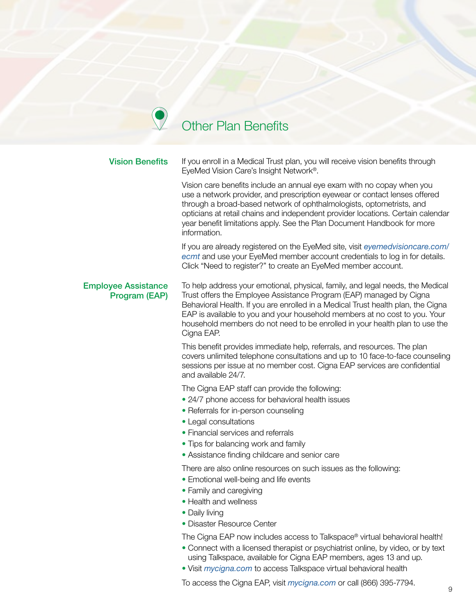## Other Plan Benefits

 $\blacktriangledown$ 

| <b>Vision Benefits</b>                      | If you enroll in a Medical Trust plan, you will receive vision benefits through<br>EyeMed Vision Care's Insight Network <sup>®</sup> .                                                                                                                                                                                                                                                                               |
|---------------------------------------------|----------------------------------------------------------------------------------------------------------------------------------------------------------------------------------------------------------------------------------------------------------------------------------------------------------------------------------------------------------------------------------------------------------------------|
|                                             | Vision care benefits include an annual eye exam with no copay when you<br>use a network provider, and prescription eyewear or contact lenses offered<br>through a broad-based network of ophthalmologists, optometrists, and<br>opticians at retail chains and independent provider locations. Certain calendar<br>year benefit limitations apply. See the Plan Document Handbook for more<br>information.           |
|                                             | If you are already registered on the EyeMed site, visit eyemedvisioncare.com/<br>ecmt and use your EyeMed member account credentials to log in for details.<br>Click "Need to register?" to create an EyeMed member account.                                                                                                                                                                                         |
| <b>Employee Assistance</b><br>Program (EAP) | To help address your emotional, physical, family, and legal needs, the Medical<br>Trust offers the Employee Assistance Program (EAP) managed by Cigna<br>Behavioral Health. If you are enrolled in a Medical Trust health plan, the Cigna<br>EAP is available to you and your household members at no cost to you. Your<br>household members do not need to be enrolled in your health plan to use the<br>Cigna EAP. |
|                                             | This benefit provides immediate help, referrals, and resources. The plan<br>covers unlimited telephone consultations and up to 10 face-to-face counseling<br>sessions per issue at no member cost. Cigna EAP services are confidential<br>and available 24/7.                                                                                                                                                        |
|                                             | The Cigna EAP staff can provide the following:<br>• 24/7 phone access for behavioral health issues<br>• Referrals for in-person counseling<br>• Legal consultations<br>• Financial services and referrals<br>• Tips for balancing work and family<br>• Assistance finding childcare and senior care                                                                                                                  |
|                                             | There are also online resources on such issues as the following:<br>• Emotional well-being and life events<br>• Family and caregiving<br>• Health and wellness<br>• Daily living<br>· Disaster Resource Center                                                                                                                                                                                                       |

The Cigna EAP now includes access to Talkspace® virtual behavioral health!

- Connect with a licensed therapist or psychiatrist online, by video, or by text using Talkspace, available for Cigna EAP members, ages 13 and up.
- Visit *[mycigna.com](https://my.cigna.com/web/public/guest)* to access Talkspace virtual behavioral health

To access the Cigna EAP, visit *[mycigna.com](https://my.cigna.com/web/public/guest)* or call (866) 395-7794.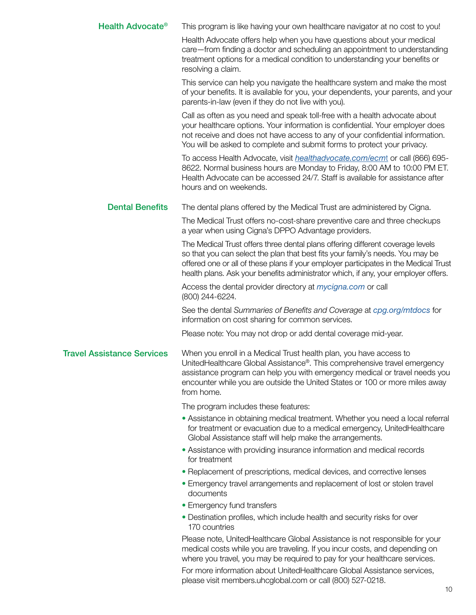| <b>Health Advocate®</b>           | This program is like having your own healthcare navigator at no cost to you!                                                                                                                                                                                                                                                                   |
|-----------------------------------|------------------------------------------------------------------------------------------------------------------------------------------------------------------------------------------------------------------------------------------------------------------------------------------------------------------------------------------------|
|                                   | Health Advocate offers help when you have questions about your medical<br>care-from finding a doctor and scheduling an appointment to understanding<br>treatment options for a medical condition to understanding your benefits or<br>resolving a claim.                                                                                       |
|                                   | This service can help you navigate the healthcare system and make the most<br>of your benefits. It is available for you, your dependents, your parents, and your<br>parents-in-law (even if they do not live with you).                                                                                                                        |
|                                   | Call as often as you need and speak toll-free with a health advocate about<br>your healthcare options. Your information is confidential. Your employer does<br>not receive and does not have access to any of your confidential information.<br>You will be asked to complete and submit forms to protect your privacy.                        |
|                                   | To access Health Advocate, visit <i>healthadvocate.com/ecmt</i> or call (866) 695-<br>8622. Normal business hours are Monday to Friday, 8:00 AM to 10:00 PM ET.<br>Health Advocate can be accessed 24/7. Staff is available for assistance after<br>hours and on weekends.                                                                     |
| <b>Dental Benefits</b>            | The dental plans offered by the Medical Trust are administered by Cigna.                                                                                                                                                                                                                                                                       |
|                                   | The Medical Trust offers no-cost-share preventive care and three checkups<br>a year when using Cigna's DPPO Advantage providers.                                                                                                                                                                                                               |
|                                   | The Medical Trust offers three dental plans offering different coverage levels<br>so that you can select the plan that best fits your family's needs. You may be<br>offered one or all of these plans if your employer participates in the Medical Trust<br>health plans. Ask your benefits administrator which, if any, your employer offers. |
|                                   | Access the dental provider directory at <i>mycigna.com</i> or call<br>(800) 244-6224.                                                                                                                                                                                                                                                          |
|                                   | See the dental Summaries of Benefits and Coverage at cpg.org/mtdocs for<br>information on cost sharing for common services.                                                                                                                                                                                                                    |
|                                   | Please note: You may not drop or add dental coverage mid-year.                                                                                                                                                                                                                                                                                 |
| <b>Travel Assistance Services</b> | When you enroll in a Medical Trust health plan, you have access to<br>UnitedHealthcare Global Assistance®. This comprehensive travel emergency<br>assistance program can help you with emergency medical or travel needs you<br>encounter while you are outside the United States or 100 or more miles away<br>from home.                      |
|                                   | The program includes these features:                                                                                                                                                                                                                                                                                                           |
|                                   | • Assistance in obtaining medical treatment. Whether you need a local referral<br>for treatment or evacuation due to a medical emergency, UnitedHealthcare<br>Global Assistance staff will help make the arrangements.                                                                                                                         |
|                                   | • Assistance with providing insurance information and medical records<br>for treatment                                                                                                                                                                                                                                                         |
|                                   | • Replacement of prescriptions, medical devices, and corrective lenses                                                                                                                                                                                                                                                                         |
|                                   | • Emergency travel arrangements and replacement of lost or stolen travel<br>documents                                                                                                                                                                                                                                                          |
|                                   | • Emergency fund transfers                                                                                                                                                                                                                                                                                                                     |
|                                   | • Destination profiles, which include health and security risks for over<br>170 countries                                                                                                                                                                                                                                                      |
|                                   | Please note, UnitedHealthcare Global Assistance is not responsible for your<br>medical costs while you are traveling. If you incur costs, and depending on<br>where you travel, you may be required to pay for your healthcare services.                                                                                                       |
|                                   | For more information about UnitedHealthcare Global Assistance services,<br>please visit members.uhcglobal.com or call (800) 527-0218.                                                                                                                                                                                                          |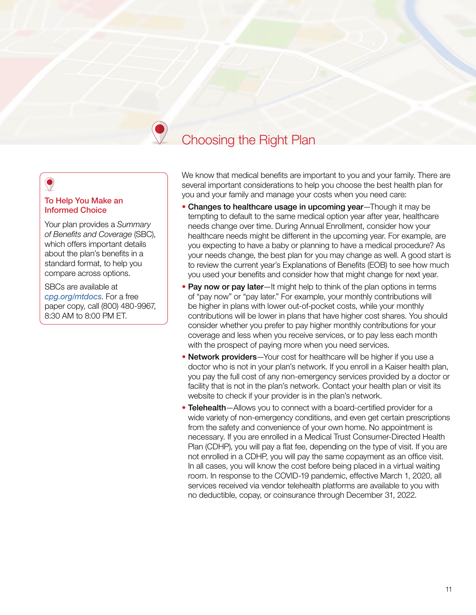## Choosing the Right Plan

#### To Help You Make an Informed Choice

Your plan provides a *Summary of Benefits and Coverage* (SBC), which offers important details about the plan's benefits in a standard format, to help you compare across options.

SBCs are available at *[cpg.org/mtdocs](https://www.cpg.org/forms-and-publications/publications/health-plans)*. For a free paper copy, call (800) 480-9967, 8:30 AM to 8:00 PM ET.

We know that medical benefits are important to you and your family. There are several important considerations to help you choose the best health plan for you and your family and manage your costs when you need care:

- Changes to healthcare usage in upcoming year—Though it may be tempting to default to the same medical option year after year, healthcare needs change over time. During Annual Enrollment, consider how your healthcare needs might be different in the upcoming year. For example, are you expecting to have a baby or planning to have a medical procedure? As your needs change, the best plan for you may change as well. A good start is to review the current year's Explanations of Benefits (EOB) to see how much you used your benefits and consider how that might change for next year.
- Pay now or pay later—It might help to think of the plan options in terms of "pay now" or "pay later." For example, your monthly contributions will be higher in plans with lower out-of-pocket costs, while your monthly contributions will be lower in plans that have higher cost shares. You should consider whether you prefer to pay higher monthly contributions for your coverage and less when you receive services, or to pay less each month with the prospect of paying more when you need services.
- Network providers-Your cost for healthcare will be higher if you use a doctor who is not in your plan's network. If you enroll in a Kaiser health plan, you pay the full cost of any non-emergency services provided by a doctor or facility that is not in the plan's network. Contact your health plan or visit its website to check if your provider is in the plan's network.
- Telehealth—Allows you to connect with a board-certified provider for a wide variety of non-emergency conditions, and even get certain prescriptions from the safety and convenience of your own home. No appointment is necessary. If you are enrolled in a Medical Trust Consumer-Directed Health Plan (CDHP), you will pay a flat fee, depending on the type of visit. If you are not enrolled in a CDHP, you will pay the same copayment as an office visit. In all cases, you will know the cost before being placed in a virtual waiting room. In response to the COVID-19 pandemic, effective March 1, 2020, all services received via vendor telehealth platforms are available to you with no deductible, copay, or coinsurance through December 31, 2022.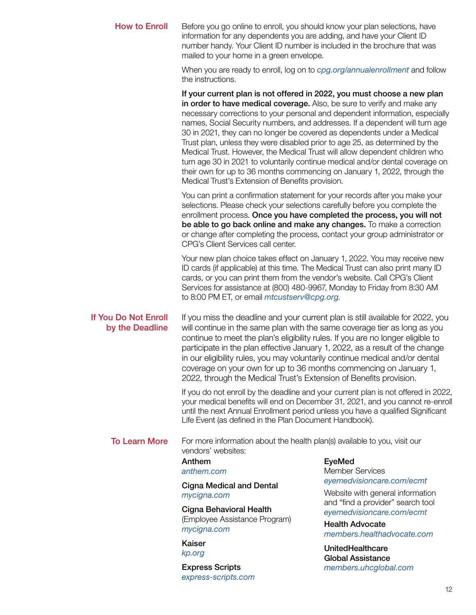| <b>How to Enroll</b>                    | Before you go online to enroll, you should know your plan selections, have<br>information for any dependents you are adding, and have your Client ID<br>number handy. Your Client ID number is included in the brochure that was<br>mailed to your home in a green envelope.                                                                                                                                                                                                                                                                                                                                                                                                                                                                                                |                                                                |  |
|-----------------------------------------|-----------------------------------------------------------------------------------------------------------------------------------------------------------------------------------------------------------------------------------------------------------------------------------------------------------------------------------------------------------------------------------------------------------------------------------------------------------------------------------------------------------------------------------------------------------------------------------------------------------------------------------------------------------------------------------------------------------------------------------------------------------------------------|----------------------------------------------------------------|--|
|                                         | When you are ready to enroll, log on to cpg.org/annualenrollment and follow<br>the instructions.                                                                                                                                                                                                                                                                                                                                                                                                                                                                                                                                                                                                                                                                            |                                                                |  |
|                                         | If your current plan is not offered in 2022, you must choose a new plan<br>in order to have medical coverage. Also, be sure to verify and make any<br>necessary corrections to your personal and dependent information, especially<br>names, Social Security numbers, and addresses. If a dependent will turn age<br>30 in 2021, they can no longer be covered as dependents under a Medical<br>Trust plan, unless they were disabled prior to age 25, as determined by the<br>Medical Trust. However, the Medical Trust will allow dependent children who<br>turn age 30 in 2021 to voluntarily continue medical and/or dental coverage on<br>their own for up to 36 months commencing on January 1, 2022, through the<br>Medical Trust's Extension of Benefits provision. |                                                                |  |
|                                         | You can print a confirmation statement for your records after you make your<br>selections. Please check your selections carefully before you complete the<br>enrollment process. Once you have completed the process, you will not<br>be able to go back online and make any changes. To make a correction<br>or change after completing the process, contact your group administrator or<br>CPG's Client Services call center.                                                                                                                                                                                                                                                                                                                                             |                                                                |  |
|                                         | Your new plan choice takes effect on January 1, 2022. You may receive new<br>ID cards (if applicable) at this time. The Medical Trust can also print many ID<br>cards, or you can print them from the vendor's website. Call CPG's Client<br>Services for assistance at (800) 480-9967, Monday to Friday from 8:30 AM<br>to 8:00 PM ET, or email <i>mtcustserv@cpg.org</i> .                                                                                                                                                                                                                                                                                                                                                                                                |                                                                |  |
| If You Do Not Enroll<br>by the Deadline | If you miss the deadline and your current plan is still available for 2022, you<br>will continue in the same plan with the same coverage tier as long as you<br>continue to meet the plan's eligibility rules. If you are no longer eligible to<br>participate in the plan effective January 1, 2022, as a result of the change<br>in our eligibility rules, you may voluntarily continue medical and/or dental<br>coverage on your own for up to 36 months commencing on January 1,<br>2022, through the Medical Trust's Extension of Benefits provision.                                                                                                                                                                                                                  |                                                                |  |
|                                         | If you do not enroll by the deadline and your current plan is not offered in 2022,<br>your medical benefits will end on December 31, 2021, and you cannot re-enroll<br>until the next Annual Enrollment period unless you have a qualified Significant<br>Life Event (as defined in the Plan Document Handbook).                                                                                                                                                                                                                                                                                                                                                                                                                                                            |                                                                |  |
| <b>To Learn More</b>                    | For more information about the health plan(s) available to you, visit our<br>vendors' websites:                                                                                                                                                                                                                                                                                                                                                                                                                                                                                                                                                                                                                                                                             |                                                                |  |
|                                         | Anthem<br>anthem.com                                                                                                                                                                                                                                                                                                                                                                                                                                                                                                                                                                                                                                                                                                                                                        | <b>EyeMed</b><br><b>Member Services</b>                        |  |
|                                         | <b>Cigna Medical and Dental</b><br>mycigna.com                                                                                                                                                                                                                                                                                                                                                                                                                                                                                                                                                                                                                                                                                                                              | eyemedvisioncare.com/ecmt<br>Website with general information  |  |
|                                         | Cigna Behavioral Health<br>(Employee Assistance Program)<br>mycigna.com                                                                                                                                                                                                                                                                                                                                                                                                                                                                                                                                                                                                                                                                                                     | and "find a provider" search tool<br>eyemedvisioncare.com/ecmt |  |
|                                         |                                                                                                                                                                                                                                                                                                                                                                                                                                                                                                                                                                                                                                                                                                                                                                             | <b>Health Advocate</b><br>members.healthadvocate.com           |  |
|                                         | Kaiser<br>kp.org                                                                                                                                                                                                                                                                                                                                                                                                                                                                                                                                                                                                                                                                                                                                                            | UnitedHealthcare<br><b>Global Assistance</b>                   |  |

Express Scripts *[express-scripts.com](https://www.express-scripts.com/)*

12

*[members.uhcglobal.com](https://members.uhcglobal.com/LoginPage.aspx?ReturnUrl=%2f)*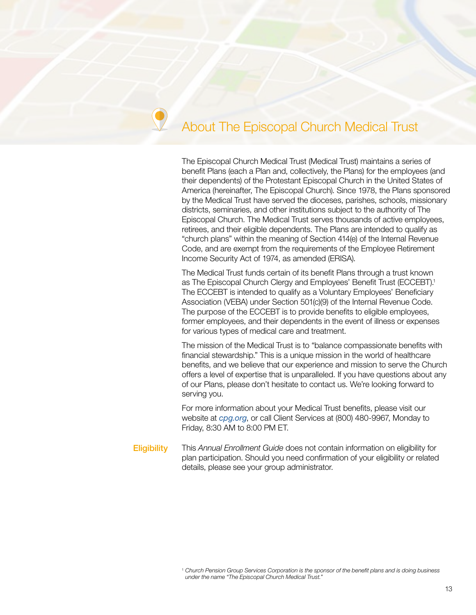## About The Episcopal Church Medical Trust

The Episcopal Church Medical Trust (Medical Trust) maintains a series of benefit Plans (each a Plan and, collectively, the Plans) for the employees (and their dependents) of the Protestant Episcopal Church in the United States of America (hereinafter, The Episcopal Church). Since 1978, the Plans sponsored by the Medical Trust have served the dioceses, parishes, schools, missionary districts, seminaries, and other institutions subject to the authority of The Episcopal Church. The Medical Trust serves thousands of active employees, retirees, and their eligible dependents. The Plans are intended to qualify as "church plans" within the meaning of Section 414(e) of the Internal Revenue Code, and are exempt from the requirements of the Employee Retirement Income Security Act of 1974, as amended (ERISA).

The Medical Trust funds certain of its benefit Plans through a trust known as The Episcopal Church Clergy and Employees' Benefit Trust (ECCEBT). 1 The ECCEBT is intended to qualify as a Voluntary Employees' Beneficiary Association (VEBA) under Section 501(c)(9) of the Internal Revenue Code. The purpose of the ECCEBT is to provide benefits to eligible employees, former employees, and their dependents in the event of illness or expenses for various types of medical care and treatment.

The mission of the Medical Trust is to "balance compassionate benefits with financial stewardship." This is a unique mission in the world of healthcare benefits, and we believe that our experience and mission to serve the Church offers a level of expertise that is unparalleled. If you have questions about any of our Plans, please don't hesitate to contact us. We're looking forward to serving you.

For more information about your Medical Trust benefits, please visit our website at *[cpg.org](https://www.cpg.org)*, or call Client Services at (800) 480-9967, Monday to Friday, 8:30 AM to 8:00 PM ET.

Eligibility This *Annual Enrollment Guide* does not contain information on eligibility for plan participation. Should you need confirmation of your eligibility or related details, please see your group administrator.

<sup>1</sup> *Church Pension Group Services Corporation is the sponsor of the benefit plans and is doing business under the name "The Episcopal Church Medical Trust."*